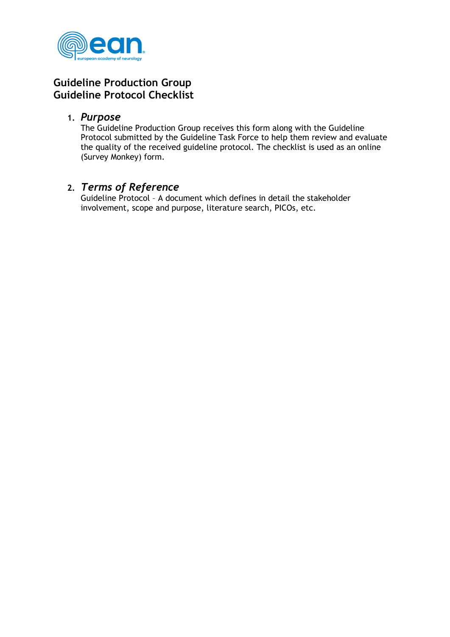

## **Guideline Production Group Guideline Protocol Checklist**

## **1.** *Purpose*

The Guideline Production Group receives this form along with the Guideline Protocol submitted by the Guideline Task Force to help them review and evaluate the quality of the received guideline protocol. The checklist is used as an online (Survey Monkey) form.

## **2.** *Terms of Reference*

Guideline Protocol – A document which defines in detail the stakeholder involvement, scope and purpose, literature search, PICOs, etc.